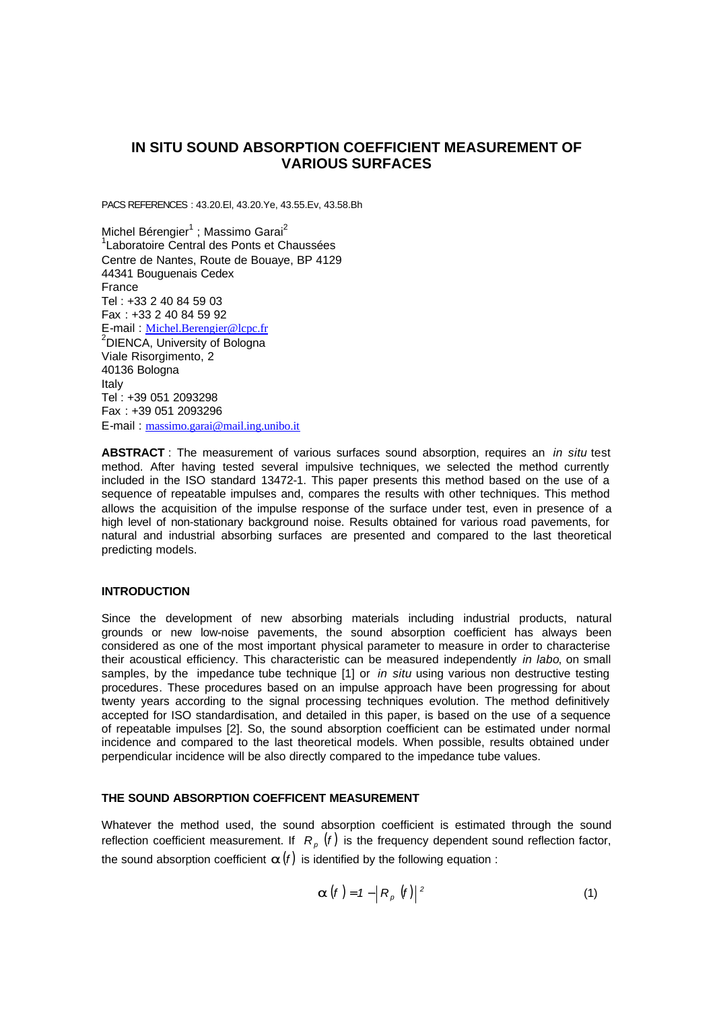# **IN SITU SOUND ABSORPTION COEFFICIENT MEASUREMENT OF VARIOUS SURFACES**

PACS REFERENCES : 43.20.El, 43.20.Ye, 43.55.Ev, 43.58.Bh

Michel Bérengier $^1$  ; Massimo Garai $^2$ 1 Laboratoire Central des Ponts et Chaussées Centre de Nantes, Route de Bouaye, BP 4129 44341 Bouguenais Cedex France Tel : +33 2 40 84 59 03 Fax : +33 2 40 84 59 92 E-mail : Michel.Berengier@lcpc.fr <sup>2</sup>DIENCA, University of Bologna Viale Risorgimento, 2 40136 Bologna Italy Tel : +39 051 2093298 Fax : +39 051 2093296 E-mail : massimo.garai@mail.ing.unibo.it

**ABSTRACT** : The measurement of various surfaces sound absorption, requires an *in situ* test method. After having tested several impulsive techniques, we selected the method currently included in the ISO standard 13472-1. This paper presents this method based on the use of a sequence of repeatable impulses and, compares the results with other techniques. This method allows the acquisition of the impulse response of the surface under test, even in presence of a high level of non-stationary background noise. Results obtained for various road pavements, for natural and industrial absorbing surfaces are presented and compared to the last theoretical predicting models.

# **INTRODUCTION**

Since the development of new absorbing materials including industrial products, natural grounds or new low-noise pavements, the sound absorption coefficient has always been considered as one of the most important physical parameter to measure in order to characterise their acoustical efficiency. This characteristic can be measured independently *in labo*, on small samples, by the impedance tube technique [1] or *in situ* using various non destructive testing procedures. These procedures based on an impulse approach have been progressing for about twenty years according to the signal processing techniques evolution. The method definitively accepted for ISO standardisation, and detailed in this paper, is based on the use of a sequence of repeatable impulses [2]. So, the sound absorption coefficient can be estimated under normal incidence and compared to the last theoretical models. When possible, results obtained under perpendicular incidence will be also directly compared to the impedance tube values.

### **THE SOUND ABSORPTION COEFFICENT MEASUREMENT**

Whatever the method used, the sound absorption coefficient is estimated through the sound reflection coefficient measurement. If  $R_p$   $(f)$  is the frequency dependent sound reflection factor, the sound absorption coefficient  $a(f)$  is identified by the following equation :

$$
\boldsymbol{a}(f) = 1 - \left| R_p \left( f \right) \right|^2 \tag{1}
$$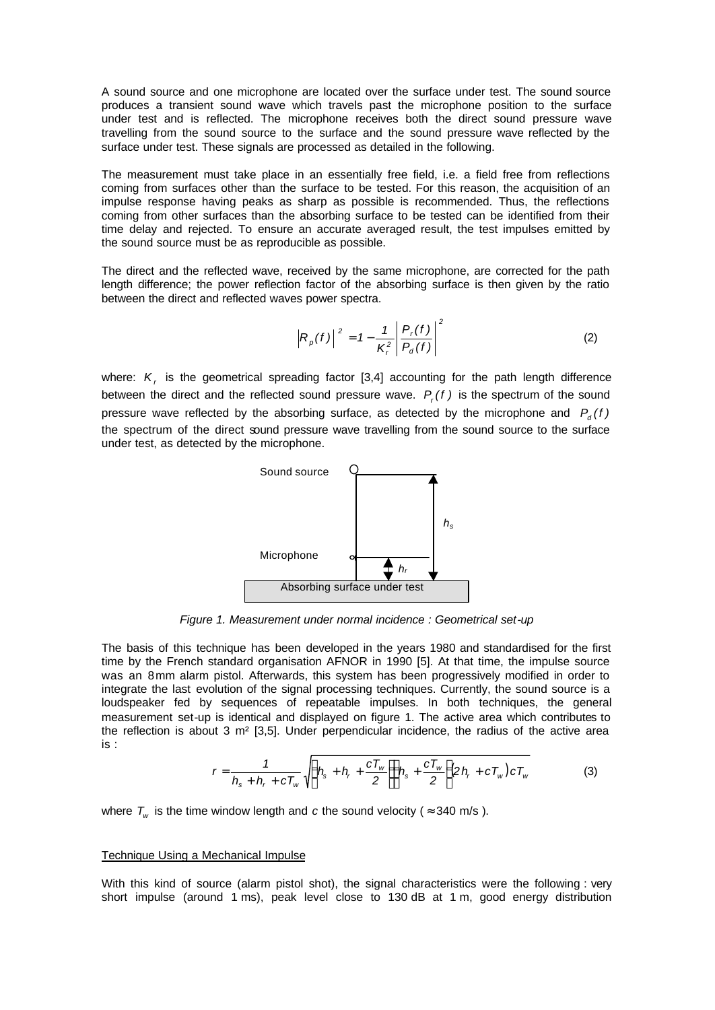A sound source and one microphone are located over the surface under test. The sound source produces a transient sound wave which travels past the microphone position to the surface under test and is reflected. The microphone receives both the direct sound pressure wave travelling from the sound source to the surface and the sound pressure wave reflected by the surface under test. These signals are processed as detailed in the following.

The measurement must take place in an essentially free field, i.e. a field free from reflections coming from surfaces other than the surface to be tested. For this reason, the acquisition of an impulse response having peaks as sharp as possible is recommended. Thus, the reflections coming from other surfaces than the absorbing surface to be tested can be identified from their time delay and rejected. To ensure an accurate averaged result, the test impulses emitted by the sound source must be as reproducible as possible.

The direct and the reflected wave, received by the same microphone, are corrected for the path length difference; the power reflection factor of the absorbing surface is then given by the ratio between the direct and reflected waves power spectra.

$$
\left| R_p(f) \right|^2 = 1 - \frac{1}{K_r^2} \left| \frac{P_r(f)}{P_d(f)} \right|^2 \tag{2}
$$

where:  $K$ <sub>r</sub> is the geometrical spreading factor [3,4] accounting for the path length difference between the direct and the reflected sound pressure wave.  $P_r(f)$  is the spectrum of the sound pressure wave reflected by the absorbing surface, as detected by the microphone and  $P_q(f)$ the spectrum of the direct sound pressure wave travelling from the sound source to the surface under test, as detected by the microphone.



*Figure 1. Measurement under normal incidence : Geometrical set-up*

The basis of this technique has been developed in the years 1980 and standardised for the first time by the French standard organisation AFNOR in 1990 [5]. At that time, the impulse source was an 8mm alarm pistol. Afterwards, this system has been progressively modified in order to integrate the last evolution of the signal processing techniques. Currently, the sound source is a loudspeaker fed by sequences of repeatable impulses. In both techniques, the general measurement set-up is identical and displayed on figure 1. The active area which contributes to the reflection is about  $3 \text{ m}^2$  [3,5]. Under perpendicular incidence, the radius of the active area is :

$$
r = \frac{1}{h_s + h_r + cT_w} \sqrt{\left(h_s + h_r + \frac{cT_w}{2}\right)\left(h_s + \frac{cT_w}{2}\right)2h_r + cT_w\right)cT_w}
$$
 (3)

where  $T_{_{\!\!W}}$  is the time window length and c the sound velocity (  $\approx$  340 m/s ).

#### Technique Using a Mechanical Impulse

With this kind of source (alarm pistol shot), the signal characteristics were the following : very short impulse (around 1 ms), peak level close to 130 dB at 1 m, good energy distribution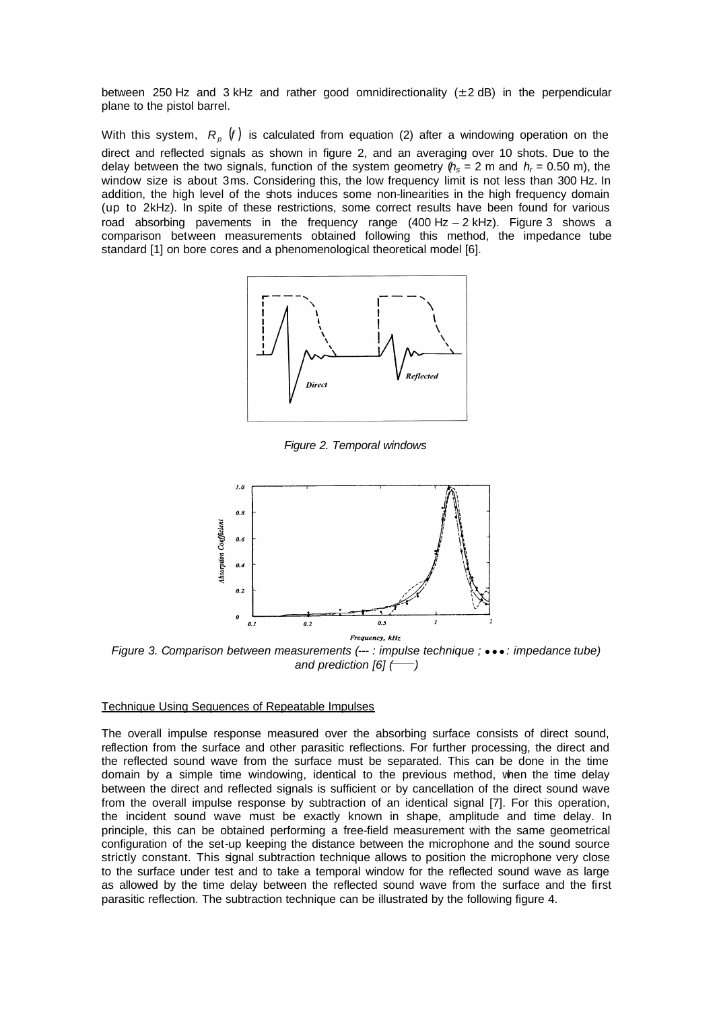between 250 Hz and 3 kHz and rather good omnidirectionality  $(\pm 2 \text{ dB})$  in the perpendicular plane to the pistol barrel.

With this system,  $R_p$  (f) is calculated from equation (2) after a windowing operation on the direct and reflected signals as shown in figure 2, and an averaging over 10 shots. Due to the delay between the two signals, function of the system geometry  $(h_s = 2 \text{ m and } h_r = 0.50 \text{ m})$ , the window size is about 3ms. Considering this, the low frequency limit is not less than 300 Hz. In addition, the high level of the shots induces some non-linearities in the high frequency domain (up to 2kHz). In spite of these restrictions, some correct results have been found for various road absorbing pavements in the frequency range (400 Hz – 2 kHz). Figure 3 shows a comparison between measurements obtained following this method, the impedance tube standard [1] on bore cores and a phenomenological theoretical model [6].



*Figure 2. Temporal windows*



*Figure 3. Comparison between measurements (---: impulse technique ;* ••• : *impedance tube) and prediction [6] (\_\_\_\_\_)*

#### Technique Using Sequences of Repeatable Impulses

The overall impulse response measured over the absorbing surface consists of direct sound, reflection from the surface and other parasitic reflections. For further processing, the direct and the reflected sound wave from the surface must be separated. This can be done in the time domain by a simple time windowing, identical to the previous method, when the time delay between the direct and reflected signals is sufficient or by cancellation of the direct sound wave from the overall impulse response by subtraction of an identical signal [7]. For this operation, the incident sound wave must be exactly known in shape, amplitude and time delay. In principle, this can be obtained performing a free-field measurement with the same geometrical configuration of the set-up keeping the distance between the microphone and the sound source strictly constant. This signal subtraction technique allows to position the microphone very close to the surface under test and to take a temporal window for the reflected sound wave as large as allowed by the time delay between the reflected sound wave from the surface and the first parasitic reflection. The subtraction technique can be illustrated by the following figure 4.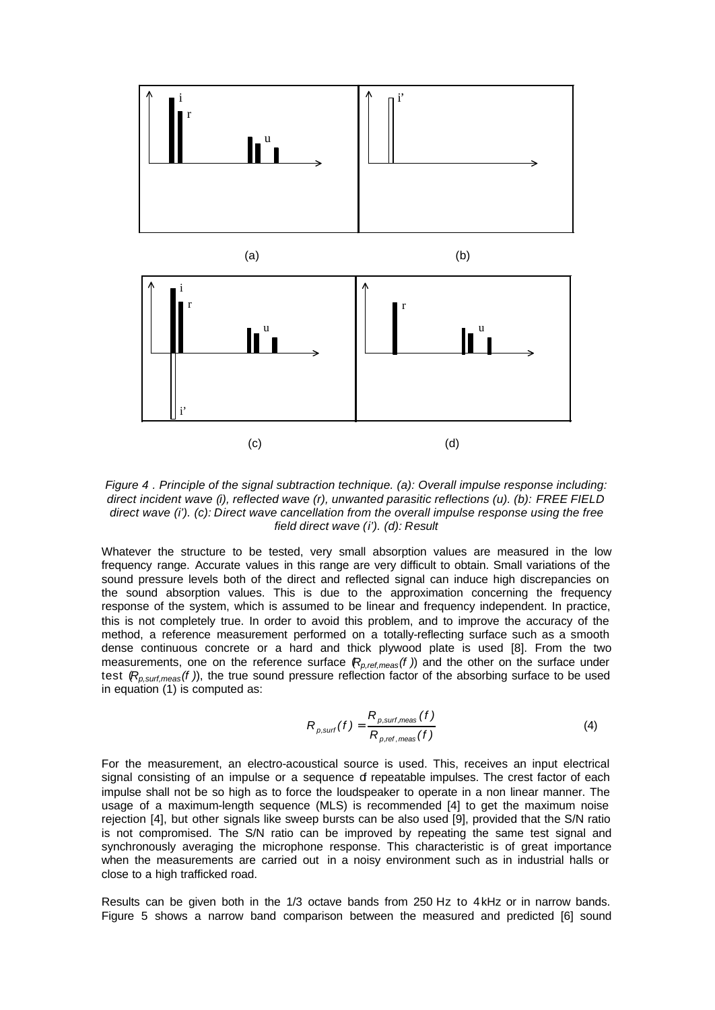

*Figure 4 . Principle of the signal subtraction technique. (a): Overall impulse response including: direct incident wave (i), reflected wave (r), unwanted parasitic reflections (u). (b): FREE FIELD direct wave (i'). (c): Direct wave cancellation from the overall impulse response using the free field direct wave (i'). (d): Result*

Whatever the structure to be tested, very small absorption values are measured in the low frequency range. Accurate values in this range are very difficult to obtain. Small variations of the sound pressure levels both of the direct and reflected signal can induce high discrepancies on the sound absorption values. This is due to the approximation concerning the frequency response of the system, which is assumed to be linear and frequency independent. In practice, this is not completely true. In order to avoid this problem, and to improve the accuracy of the method, a reference measurement performed on a totally-reflecting surface such as a smooth dense continuous concrete or a hard and thick plywood plate is used [8]. From the two measurements, one on the reference surface  $(R_{p,ref,meas}(f))$  and the other on the surface under test (*Rp,surf,meas(f )*), the true sound pressure reflection factor of the absorbing surface to be used in equation (1) is computed as:

$$
R_{p, \text{surf}}(f) = \frac{R_{p, \text{surf}, \text{meas}}(f)}{R_{p, \text{ref}, \text{meas}}(f)}
$$
(4)

For the measurement, an electro-acoustical source is used. This, receives an input electrical signal consisting of an impulse or a sequence of repeatable impulses. The crest factor of each impulse shall not be so high as to force the loudspeaker to operate in a non linear manner. The usage of a maximum-length sequence (MLS) is recommended [4] to get the maximum noise rejection [4], but other signals like sweep bursts can be also used [9], provided that the S/N ratio is not compromised. The S/N ratio can be improved by repeating the same test signal and synchronously averaging the microphone response. This characteristic is of great importance when the measurements are carried out in a noisy environment such as in industrial halls or close to a high trafficked road.

Results can be given both in the 1/3 octave bands from 250 Hz to 4kHz or in narrow bands. Figure 5 shows a narrow band comparison between the measured and predicted [6] sound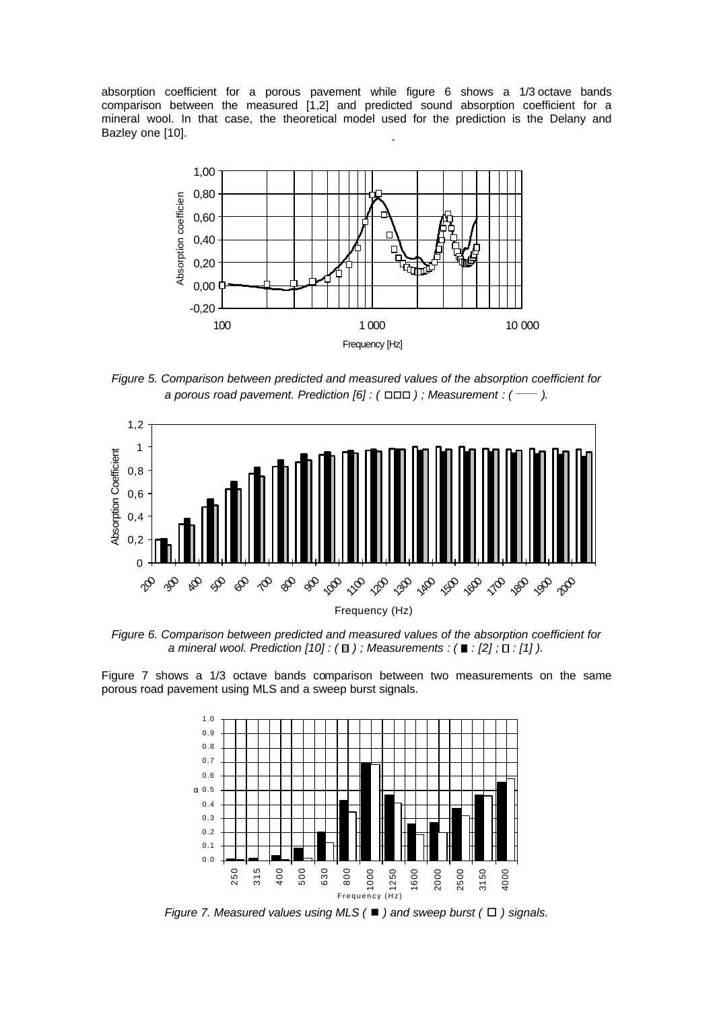absorption coefficient for a porous pavement while figure 6 shows a 1/3 octave bands comparison between the measured [1,2] and predicted sound absorption coefficient for a mineral wool. In that case, the theoretical model used for the prediction is the Delany and Bazley one [10].



*Figure 5. Comparison between predicted and measured values of the absorption coefficient for a porous road pavement. Prediction [6] : (* □□□ ) ; Measurement *: (* — ).



*Figure 6. Comparison between predicted and measured values of the absorption coefficient for a mineral wool. Prediction [10] : (*□); Measurements : (■ : [2] ; □ : [1]).

Figure 7 shows a 1/3 octave bands comparison between two measurements on the same porous road pavement using MLS and a sweep burst signals.



*Figure 7. Measured values using MLS (*■ ) and sweep burst ( $\Box$ ) signals.